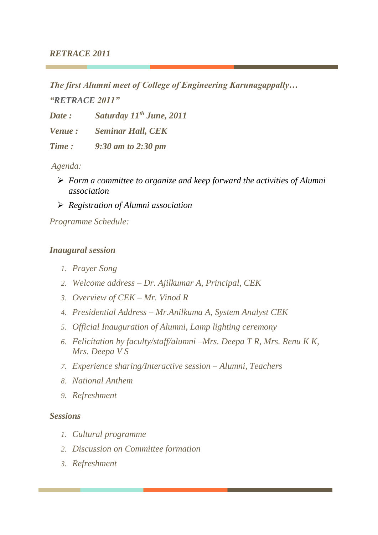### *RETRACE 2011*

*The first Alumni meet of College of Engineering Karunagappally…* 

*"RETRACE 2011"*

*Date : Saturday 11th June, 2011*

*Venue : Seminar Hall, CEK*

*Time : 9:30 am to 2:30 pm*

*Agenda:*

- ➢ *Form a committee to organize and keep forward the activities of Alumni association*
- ➢ *Registration of Alumni association*

*Programme Schedule:*

## *Inaugural session*

- *1. Prayer Song*
- *2. Welcome address – Dr. Ajilkumar A, Principal, CEK*
- *3. Overview of CEK – Mr. Vinod R*
- *4. Presidential Address – Mr.Anilkuma A, System Analyst CEK*
- *5. Official Inauguration of Alumni, Lamp lighting ceremony*
- *6. Felicitation by faculty/staff/alumni –Mrs. Deepa T R, Mrs. Renu K K, Mrs. Deepa V S*
- *7. Experience sharing/Interactive session – Alumni, Teachers*
- *8. National Anthem*
- *9. Refreshment*

## *Sessions*

- *1. Cultural programme*
- *2. Discussion on Committee formation*
- *3. Refreshment*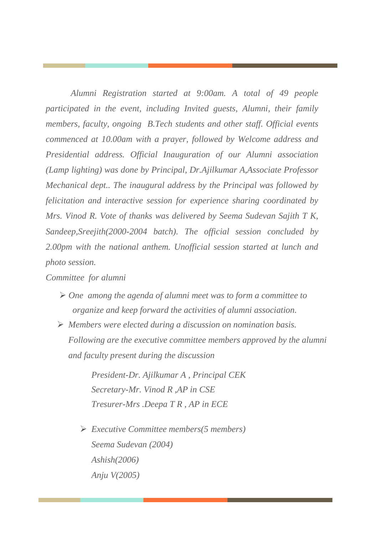*Alumni Registration started at 9:00am. A total of 49 people participated in the event, including Invited guests, Alumni, their family members, faculty, ongoing B.Tech students and other staff. Official events commenced at 10.00am with a prayer, followed by Welcome address and Presidential address. Official Inauguration of our Alumni association (Lamp lighting) was done by Principal, Dr.Ajilkumar A,Associate Professor Mechanical dept.. The inaugural address by the Principal was followed by felicitation and interactive session for experience sharing coordinated by Mrs. Vinod R. Vote of thanks was delivered by Seema Sudevan Sajith T K, Sandeep,Sreejith(2000-2004 batch). The official session concluded by 2.00pm with the national anthem. Unofficial session started at lunch and photo session.*

#### *Committee for alumni*

- ➢ *One among the agenda of alumni meet was to form a committee to organize and keep forward the activities of alumni association.*
- ➢ *Members were elected during a discussion on nomination basis. Following are the executive committee members approved by the alumni and faculty present during the discussion*

*President-Dr. Ajilkumar A , Principal CEK Secretary-Mr. Vinod R ,AP in CSE Tresurer-Mrs .Deepa T R , AP in ECE*

➢ *Executive Committee members(5 members) Seema Sudevan (2004) Ashish(2006) Anju V(2005)*